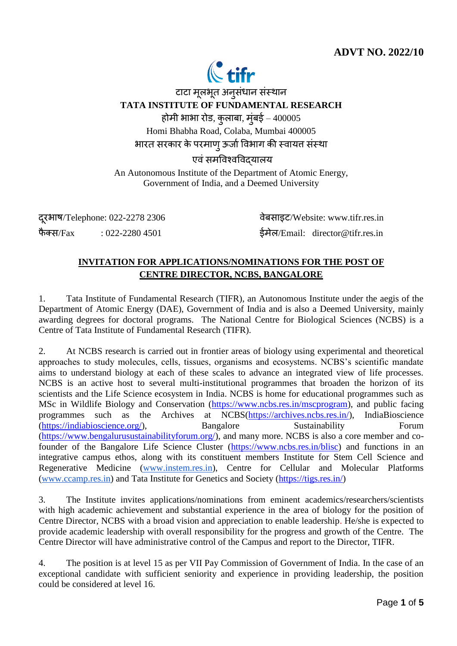# **ADVT NO. 2022/10**



टाटा मूलभूत अनुसंधान संस्थान **TATA INSTITUTE OF FUNDAMENTAL RESEARCH** होमी भाभा रोड, कुलाबा, मुंबई –  $400005$ Homi Bhabha Road, Colaba, Mumbai 400005 भारत सरकार के परमाणु ऊर्जा विभाग की स्वायत्त संस्था एवं समविश्वविदयालय

An Autonomous Institute of the Department of Atomic Energy, Government of India, and a Deemed University

दरूभाष/Telephone: 022-2278 2306 िेबसाइट/Website: www.tifr.res.in फैक्स/Fax : 022-2280 4501  $\frac{1}{5}$ र्मेल/Email: director@tifr.res.in

## **INVITATION FOR APPLICATIONS/NOMINATIONS FOR THE POST OF CENTRE DIRECTOR, NCBS, BANGALORE**

1. Tata Institute of Fundamental Research (TIFR), an Autonomous Institute under the aegis of the Department of Atomic Energy (DAE), Government of India and is also a Deemed University, mainly awarding degrees for doctoral programs. The National Centre for Biological Sciences (NCBS) is a Centre of Tata Institute of Fundamental Research (TIFR).

2. At NCBS research is carried out in frontier areas of biology using experimental and theoretical approaches to study molecules, cells, tissues, organisms and ecosystems. NCBS's scientific mandate aims to understand biology at each of these scales to advance an integrated view of life processes. NCBS is an active host to several multi-institutional programmes that broaden the horizon of its scientists and the Life Science ecosystem in India. NCBS is home for educational programmes such as MSc in Wildlife Biology and Conservation [\(https://www.ncbs.res.in/mscprogram\)](https://www.ncbs.res.in/mscprogram), and public facing programmes such as the Archives at NCBS[\(https://archives.ncbs.res.in/\)](https://archives.ncbs.res.in/), IndiaBioscience [\(https://indiabioscience.org/\)](https://indiabioscience.org/), Bangalore Sustainability Forum [\(https://www.bengalurusustainabilityforum.org/\)](https://www.bengalurusustainabilityforum.org/), and many more. NCBS is also a core member and co-founder of the Bangalore Life Science Cluster [\(https://www.ncbs.res.in/blisc\)](https://www.ncbs.res.in/blisc) and functions in an integrative campus ethos, along with its constituent members Institute for Stem Cell Science and Regenerative Medicine [\(www.instem.res.in\)](http://www.instem.res.in/), Centre for Cellular and Molecular Platforms [\(www.ccamp.res.in\)](http://www.ccamp.res.in/) and Tata Institute for Genetics and Society (https://tigs.res.in/)

3. The Institute invites applications/nominations from eminent academics/researchers/scientists with high academic achievement and substantial experience in the area of biology for the position of Centre Director, NCBS with a broad vision and appreciation to enable leadership. He/she is expected to provide academic leadership with overall responsibility for the progress and growth of the Centre. The Centre Director will have administrative control of the Campus and report to the Director, TIFR.

4. The position is at level 15 as per VII Pay Commission of Government of India. In the case of an exceptional candidate with sufficient seniority and experience in providing leadership, the position could be considered at level 16.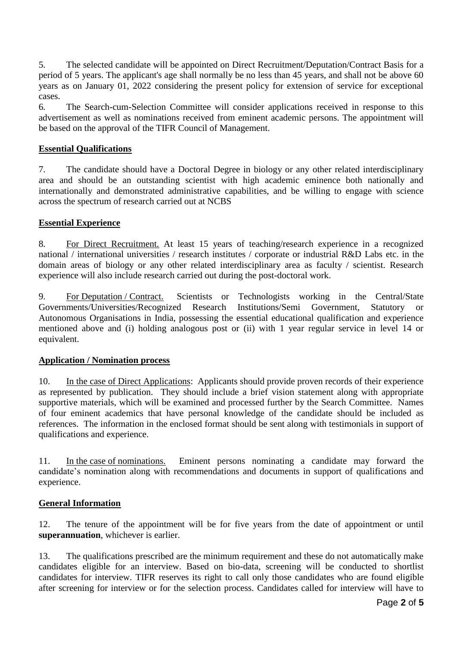5. The selected candidate will be appointed on Direct Recruitment/Deputation/Contract Basis for a period of 5 years. The applicant's age shall normally be no less than 45 years, and shall not be above 60 years as on January 01, 2022 considering the present policy for extension of service for exceptional cases.

6. The Search-cum-Selection Committee will consider applications received in response to this advertisement as well as nominations received from eminent academic persons. The appointment will be based on the approval of the TIFR Council of Management.

### **Essential Qualifications**

7. The candidate should have a Doctoral Degree in biology or any other related interdisciplinary area and should be an outstanding scientist with high academic eminence both nationally and internationally and demonstrated administrative capabilities, and be willing to engage with science across the spectrum of research carried out at NCBS

#### **Essential Experience**

8. For Direct Recruitment. At least 15 years of teaching/research experience in a recognized national / international universities / research institutes / corporate or industrial R&D Labs etc. in the domain areas of biology or any other related interdisciplinary area as faculty / scientist. Research experience will also include research carried out during the post-doctoral work.

9. For Deputation / Contract. Scientists or Technologists working in the Central/State Governments/Universities/Recognized Research Institutions/Semi Government, Statutory or Autonomous Organisations in India, possessing the essential educational qualification and experience mentioned above and (i) holding analogous post or (ii) with 1 year regular service in level 14 or equivalent.

#### **Application / Nomination process**

10. In the case of Direct Applications: Applicants should provide proven records of their experience as represented by publication. They should include a brief vision statement along with appropriate supportive materials, which will be examined and processed further by the Search Committee. Names of four eminent academics that have personal knowledge of the candidate should be included as references. The information in the enclosed format should be sent along with testimonials in support of qualifications and experience.

11. In the case of nominations. Eminent persons nominating a candidate may forward the candidate's nomination along with recommendations and documents in support of qualifications and experience.

#### **General Information**

12. The tenure of the appointment will be for five years from the date of appointment or until **superannuation**, whichever is earlier.

13. The qualifications prescribed are the minimum requirement and these do not automatically make candidates eligible for an interview. Based on bio-data, screening will be conducted to shortlist candidates for interview. TIFR reserves its right to call only those candidates who are found eligible after screening for interview or for the selection process. Candidates called for interview will have to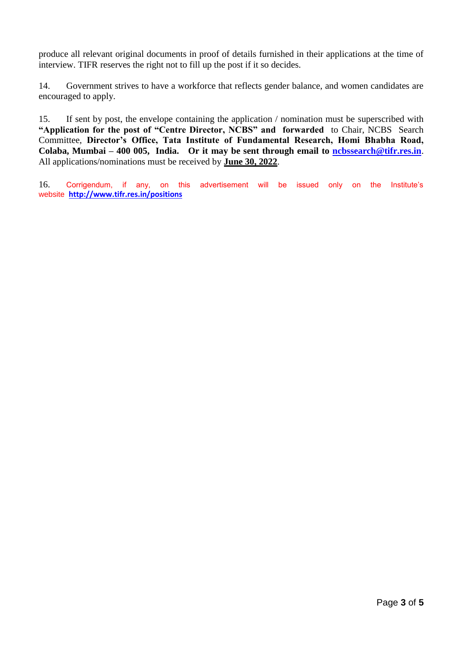produce all relevant original documents in proof of details furnished in their applications at the time of interview. TIFR reserves the right not to fill up the post if it so decides.

14. Government strives to have a workforce that reflects gender balance, and women candidates are encouraged to apply.

15. If sent by post, the envelope containing the application / nomination must be superscribed with **"Application for the post of "Centre Director, NCBS" and forwarded** to Chair, NCBS Search Committee, **Director's Office, Tata Institute of Fundamental Research, Homi Bhabha Road, Colaba, Mumbai – 400 005, India. Or it may be sent through email to [ncbssearch@tifr.res.in](mailto:ncbssearch@tifr.res.in)**. All applications/nominations must be received by **June 30, 2022**.

16. Corrigendum, if any, on this advertisement will be issued only on the Institute's website **<http://www.tifr.res.in/positions>**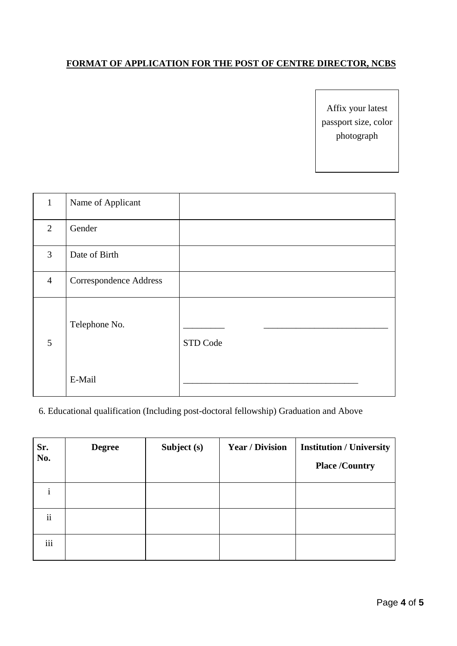### **FORMAT OF APPLICATION FOR THE POST OF CENTRE DIRECTOR, NCBS**

Affix your latest passport size, color photograph

| $\mathbf{1}$   | Name of Applicant             |          |
|----------------|-------------------------------|----------|
| 2              | Gender                        |          |
| $\overline{3}$ | Date of Birth                 |          |
| $\overline{4}$ | <b>Correspondence Address</b> |          |
| 5              | Telephone No.                 | STD Code |
|                | E-Mail                        |          |

## 6. Educational qualification (Including post-doctoral fellowship) Graduation and Above

| Sr.<br>No.               | <b>Degree</b> | Subject (s) | <b>Year / Division</b> | <b>Institution / University</b> |
|--------------------------|---------------|-------------|------------------------|---------------------------------|
|                          |               |             |                        | <b>Place /Country</b>           |
|                          |               |             |                        |                                 |
| $\overline{\mathbf{ii}}$ |               |             |                        |                                 |
| iii                      |               |             |                        |                                 |